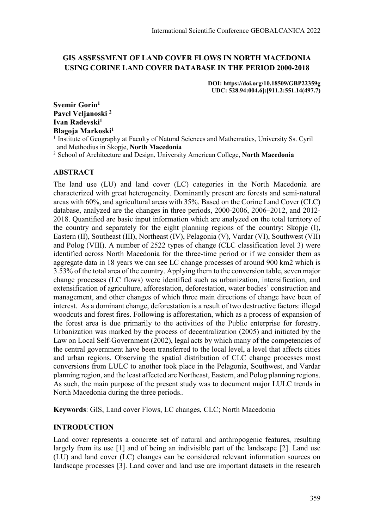## **GIS ASSESSMENT OF LAND COVER FLOWS IN NORTH MACEDONIA USING CORINE LAND COVER DATABASE IN THE PERIOD 2000-2018**

**DOI: https://doi.org/10.18509/GBP22359g UDC: 528.94:004.6]:[911.2:551.14(497.7)**

**Svemir Gorin1 Pavel Veljanoski 2** Ivan Radevski<sup>1</sup> **Blagoja Markoski1**

1 Institute of Geography at Faculty of Natural Sciences and Mathematics, University Ss. Cyril and Methodius in Skopje, **North Macedonia**

2 School of Architecture and Design, University American College, **North Macedonia**

## **ABSTRACT**

The land use (LU) and land cover (LC) categories in the North Macedonia are characterized with great heterogeneity. Dominantly present are forests and semi-natural areas with 60%, and agricultural areas with 35%. Based on the Corine Land Cover (CLC) database, analyzed are the changes in three periods, 2000-2006, 2006–2012, and 2012- 2018. Quantified are basic input information which are analyzed on the total territory of the country and separately for the eight planning regions of the country: Skopje (I), Eastern (II), Southeast (III), Northeast (IV), Pelagonia (V), Vardar (VI), Southwest (VII) and Polog (VIII). A number of 2522 types of change (CLC classification level 3) were identified across North Macedonia for the three-time period or if we consider them as aggregate data in 18 years we can see LC change processes of around 900 km2 which is 3.53% of the total area of the country. Applying them to the conversion table, seven major change processes (LC flows) were identified such as urbanization, intensification, and extensification of agriculture, afforestation, deforestation, water bodies' construction and management, and other changes of which three main directions of change have been of interest. As a dominant change, deforestation is a result of two destructive factors: illegal woodcuts and forest fires. Following is afforestation, which as a process of expansion of the forest area is due primarily to the activities of the Public enterprise for forestry. Urbanization was marked by the process of decentralization (2005) and initiated by the Law on Local Self-Government (2002), legal acts by which many of the competencies of the central government have been transferred to the local level, a level that affects cities and urban regions. Observing the spatial distribution of CLC change processes most conversions from LULC to another took place in the Pelagonia, Southwest, and Vardar planning region, and the least affected are Northeast, Eastern, and Polog planning regions. As such, the main purpose of the present study was to document major LULC trends in North Macedonia during the three periods..

**Keywords**: GIS, Land cover Flows, LC changes, CLC; North Macedonia

## **INTRODUCTION**

Land cover represents a concrete set of natural and anthropogenic features, resulting largely from its use [1] and of being an indivisible part of the landscape [2]. Land use (LU) and land cover (LC) changes can be considered relevant information sources on landscape processes [3]. Land cover and land use are important datasets in the research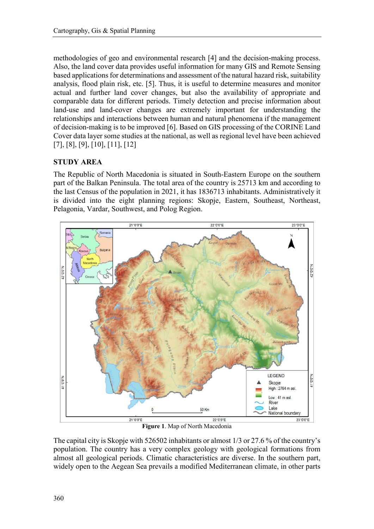methodologies of geo and environmental research [4] and the decision-making process. Also, the land cover data provides useful information for many GIS and Remote Sensing based applications for determinations and assessment of the natural hazard risk, suitability analysis, flood plain risk, etc. [5]. Thus, it is useful to determine measures and monitor actual and further land cover changes, but also the availability of appropriate and comparable data for different periods. Timely detection and precise information about land-use and land-cover changes are extremely important for understanding the relationships and interactions between human and natural phenomena if the management of decision-making is to be improved [6]. Based on GIS processing of the CORINE Land Cover data layer some studies at the national, as well as regional level have been achieved [7], [8], [9], [10], [11], [12]

# **STUDY AREA**

The Republic of North Macedonia is situated in South-Eastern Europe on the southern part of the Balkan Peninsula. The total area of the country is 25713 km and according to the last Census of the population in 2021, it has 1836713 inhabitants. Administratively it is divided into the eight planning regions: Skopje, Eastern, Southeast, Northeast, Pelagonia, Vardar, Southwest, and Polog Region.



**Figure 1**. Map of North Macedonia

The capital city is Skopje with 526502 inhabitants or almost 1/3 or 27.6 % of the country's population. The country has a very complex geology with geological formations from almost all geological periods. Climatic characteristics are diverse. In the southern part, widely open to the Aegean Sea prevails a modified Mediterranean climate, in other parts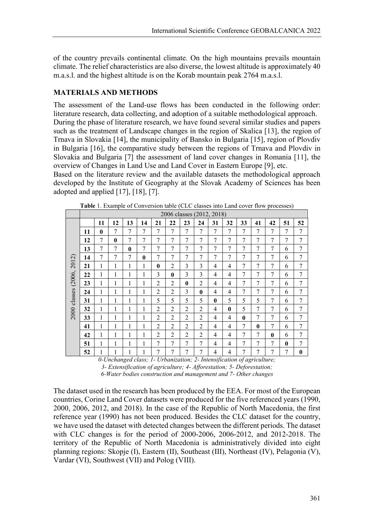of the country prevails continental climate. On the high mountains prevails mountain climate. The relief characteristics are also diverse, the lowest altitude is approximately 40 m.a.s.l. and the highest altitude is on the Korab mountain peak 2764 m.a.s.l.

### **MATERIALS AND METHODS**

The assessment of the Land-use flows has been conducted in the following order: literature research, data collecting, and adoption of a suitable methodological approach. During the phase of literature research, we have found several similar studies and papers such as the treatment of Landscape changes in the region of Skalica [13], the region of Trnava in Slovakia [14], the municipality of Bansko in Bulgaria [15], region of Plovdiv in Bulgaria [16], the comparative study between the regions of Trnava and Plovdiv in Slovakia and Bulgaria [7] the assessment of land cover changes in Romania [11], the overview of Changes in Land Use and Land Cover in Eastern Europe [9], etc.

Based on the literature review and the available datasets the methodological approach developed by the Institute of Geography at the Slovak Academy of Sciences has been adopted and applied [17], [18], [7].

|         | <b>Fabre</b> 1. Example of Conversion table (CEC classes this Eana cover from processes)<br>2006 classes (2012, 2018) |                |              |              |              |                |                |                |                |          |                |                |              |                |              |          |
|---------|-----------------------------------------------------------------------------------------------------------------------|----------------|--------------|--------------|--------------|----------------|----------------|----------------|----------------|----------|----------------|----------------|--------------|----------------|--------------|----------|
|         |                                                                                                                       |                |              |              |              |                |                |                |                |          |                |                |              |                |              |          |
|         |                                                                                                                       | 11             | 12           | 13           | 14           | 21             | 22             | 23             | 24             | 31       | 32             | 33             | 41           | 42             | 51           | 52       |
|         | 11                                                                                                                    | $\mathbf{0}$   | 7            | 7            | 7            | $\tau$         | 7              | 7              | 7              | 7        | 7              | 7              | 7            | 7              | 7            | 7        |
|         | 12                                                                                                                    | 7              | $\mathbf{0}$ | 7            | $\tau$       | 7              | 7              | 7              | $\overline{7}$ | 7        | 7              | 7              | 7            | 7              | 7            | 7        |
|         | 13                                                                                                                    | 7              | 7            | $\mathbf{0}$ | $\tau$       | 7              | 7              | 7              | 7              | 7        | 7              | 7              | 7            | 7              | 6            | 7        |
|         | 14                                                                                                                    | $\overline{7}$ | 7            | 7            | $\mathbf{0}$ | 7              | 7              | $\overline{7}$ | 7              | 7        | $\overline{7}$ | $\overline{7}$ | 7            | 7              | 6            | 7        |
| 2012)   | 21                                                                                                                    | 1              | 1            | 1            | 1            | $\mathbf{0}$   | $\overline{2}$ | 3              | 3              | 4        | $\overline{4}$ | 7              | 7            | 7              | 6            | 7        |
|         | 22                                                                                                                    | $\mathbf{1}$   | 1            | 1            | $\mathbf{1}$ | 3              | $\bf{0}$       | 3              | 3              | 4        | $\overline{4}$ | 7              | $\tau$       | 7              | 6            | 7        |
| (2006,  | 23                                                                                                                    | $\mathbf{1}$   | $\mathbf{1}$ | 1            | 1            | $\overline{2}$ | $\overline{2}$ | $\bf{0}$       | $\overline{2}$ | 4        | $\overline{4}$ | 7              | $\tau$       | $\overline{7}$ | 6            | 7        |
|         | 24                                                                                                                    | 1              | $\mathbf{1}$ | 1            | 1            | $\overline{2}$ | $\overline{2}$ | $\mathcal{E}$  | $\mathbf{0}$   | 4        | 4              | $\tau$         | $\tau$       | $\overline{7}$ | 6            | 7        |
| classes | 31                                                                                                                    | 1              | $\mathbf{1}$ | 1            | 1            | 5              | 5              | 5              | 5              | $\bf{0}$ | 5              | 5              | 5            | 7              | 6            | 7        |
| 2000    | 32                                                                                                                    | 1              | $\mathbf{1}$ | 1            | 1            | $\overline{2}$ | $\overline{2}$ | $\overline{2}$ | $\overline{2}$ | 4        | $\bf{0}$       | 5              | 7            | 7              | 6            | 7        |
|         | 33                                                                                                                    | 1              | 1            | 1            | 1            | $\overline{2}$ | $\overline{2}$ | $\overline{2}$ | $\overline{2}$ | 4        | $\overline{4}$ | $\mathbf{0}$   | 7            | 7              | 6            | 7        |
|         | 41                                                                                                                    | $\mathbf{1}$   | $\mathbf{1}$ | 1            | 1            | $\overline{2}$ | 2              | $\overline{2}$ | $\overline{2}$ | 4        | $\overline{4}$ | 7              | $\mathbf{0}$ | 7              | 6            | 7        |
|         | 42                                                                                                                    | $\mathbf{1}$   | $\mathbf{1}$ | 1            | 1            | $\overline{2}$ | $\overline{2}$ | $\overline{2}$ | $\overline{2}$ | 4        | 4              | 7              | 7            | $\mathbf{0}$   | 6            | 7        |
|         | 51                                                                                                                    | 1              | 1            | 1            | 1            | 7              | 7              | 7              | $\tau$         | 4        | 4              | $\overline{7}$ | 7            | 7              | $\mathbf{0}$ | 7        |
|         | 52                                                                                                                    | 1              | $\mathbf{1}$ | 1            | 1            | 7              | 7              | 7              | 7              | 4        | 4              | 7              | $\tau$       | 7              | 7            | $\bf{0}$ |

**Table** 1. Example of Conversion table (CLC classes into Land cover flow processes)

*0-Unchanged class; 1- Urbanization; 2- Intensification of agriculture; 3- Extensification of agriculture; 4- Afforestation; 5- Deforestation; 6-Water bodies construction and management and 7- Other changes*

The dataset used in the research has been produced by the EEA. For most of the European countries, Corine Land Cover datasets were produced for the five referenced years (1990, 2000, 2006, 2012, and 2018). In the case of thе Republic of North Macedonia, the first reference year (1990) has not been produced. Besides the CLC dataset for the country, we have used the dataset with detected changes between the different periods. The dataset with CLC changes is for the period of 2000-2006, 2006-2012, and 2012-2018. The territory of the Republic of North Macedonia is administratively divided into eight planning regions: Skopje (I), Eastern (II), Southeast (III), Northeast (IV), Pelagonia (V), Vardar (VI), Southwest (VII) and Polog (VIII).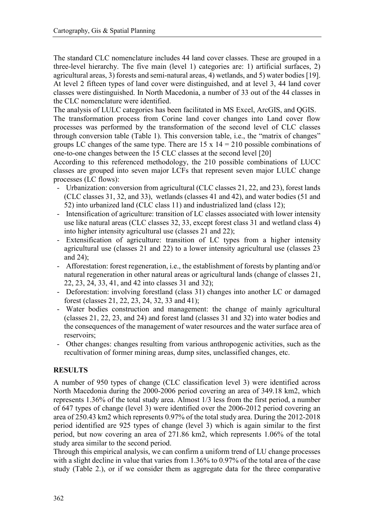The standard CLC nomenclature includes 44 land cover classes. These are grouped in a three-level hierarchy. The five main (level 1) categories are: 1) artificial surfaces, 2) agricultural areas, 3) forests and semi-natural areas, 4) wetlands, and 5) water bodies [19]. At level 2 fifteen types of land cover were distinguished, and at level 3, 44 land cover classes were distinguished. In North Macedonia, a number of 33 out of the 44 classes in the CLC nomenclature were identified.

The analysis of LULC categories has been facilitated in MS Excel, ArcGIS, and QGIS.

The transformation process from Corine land cover changes into Land cover flow processes was performed by the transformation of the second level of CLC classes through conversion table (Table 1). This conversion table, i.e., the "matrix of changes" groups LC changes of the same type. There are  $15 \times 14 = 210$  possible combinations of one-to-one changes between the 15 CLC classes at the second level [20]

According to this referenced methodology, the 210 possible combinations of LUCC classes are grouped into seven major LCFs that represent seven major LULC change processes (LC flows):

- Urbanization: conversion from agricultural (CLC classes 21, 22, and 23), forest lands (CLC classes 31, 32, and 33), wetlands (classes 41 and 42), and water bodies (51 and 52) into urbanized land (CLC class 11) and industrialized land (class 12);
- Intensification of agriculture: transition of LC classes associated with lower intensity use like natural areas (CLC classes 32, 33, except forest class 31 and wetland class 4) into higher intensity agricultural use (classes 21 and 22);
- Extensification of agriculture: transition of LC types from a higher intensity agricultural use (classes 21 and 22) to a lower intensity agricultural use (classes 23 and 24);
- Afforestation: forest regeneration, i.e., the establishment of forests by planting and/or natural regeneration in other natural areas or agricultural lands (change of classes 21, 22, 23, 24, 33, 41, and 42 into classes 31 and 32);
- Deforestation: involving forestland (class 31) changes into another LC or damaged forest (classes 21, 22, 23, 24, 32, 33 and 41);
- Water bodies construction and management: the change of mainly agricultural (classes 21, 22, 23, and 24) and forest land (classes 31 and 32) into water bodies and the consequences of the management of water resources and the water surface area of reservoirs;
- Other changes: changes resulting from various anthropogenic activities, such as the recultivation of former mining areas, dump sites, unclassified changes, etc.

#### **RESULTS**

A number of 950 types of change (CLC classification level 3) were identified across North Macedonia during the 2000-2006 period covering an area of 349.18 km2, which represents 1.36% of the total study area. Almost 1/3 less from the first period, a number of 647 types of change (level 3) were identified over the 2006-2012 period covering an area of 250.43 km2 which represents 0.97% of the total study area. During the 2012-2018 period identified are 925 types of change (level 3) which is again similar to the first period, but now covering an area of 271.86 km2, which represents 1.06% of the total study area similar to the second period.

Through this empirical analysis, we can confirm a uniform trend of LU change processes with a slight decline in value that varies from 1.36% to 0.97% of the total area of the case study (Table 2.), or if we consider them as aggregate data for the three comparative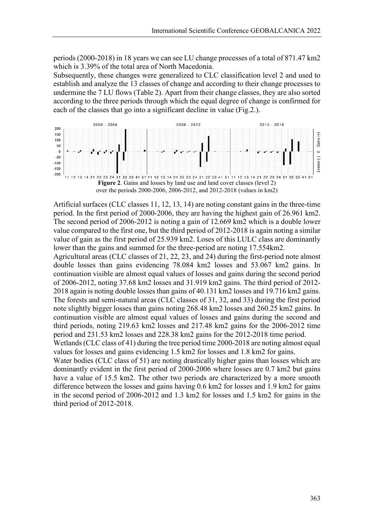periods (2000-2018) in 18 years we can see LU change processes of a total of 871.47 km2 which is 3.39% of the total area of North Macedonia.

Subsequently, these changes were generalized to CLC classification level 2 and used to establish and analyze the 13 classes of change and according to their change processes to undermine the 7 LU flows (Table 2). Apart from their change classes, they are also sorted according to the three periods through which the equal degree of change is confirmed for each of the classes that go into a significant decline in value (Fig.2.).



Artificial surfaces (CLC classes 11, 12, 13, 14) are noting constant gains in the three-time period. In the first period of 2000-2006, they are having the highest gain of 26.961 km2. The second period of 2006-2012 is noting a gain of 12.669 km2 which is a double lower value compared to the first one, but the third period of 2012-2018 is again noting a similar value of gain as the first period of 25.939 km2. Loses of this LULC class are dominantly lower than the gains and summed for the three-period are noting 17.554km2.

Agricultural areas (CLC classes of 21, 22, 23, and 24) during the first-period note almost double losses than gains evidencing 78.084 km2 losses and 53.067 km2 gains. In continuation visible are almost equal values of losses and gains during the second period of 2006-2012, noting 37.68 km2 losses and 31.919 km2 gains. The third period of 2012- 2018 again is noting double losses than gains of 40.131 km2 losses and 19.716 km2 gains. The forests and semi-natural areas (CLC classes of 31, 32, and 33) during the first period note slightly bigger losses than gains noting 268.48 km2 losses and 260.25 km2 gains. In continuation visible are almost equal values of losses and gains during the second and third periods, noting 219.63 km2 losses and 217.48 km2 gains for the 2006-2012 time period and 231.53 km2 losses and 228.38 km2 gains for the 2012-2018 time period.

Wetlands (CLC class of 41) during the tree period time 2000-2018 are noting almost equal values for losses and gains evidencing 1.5 km2 for losses and 1.8 km2 for gains.

Water bodies (CLC class of 51) are noting drastically higher gains than losses which are dominantly evident in the first period of 2000-2006 where losses are 0.7 km2 but gains have a value of 15.5 km2. The other two periods are characterized by a more smooth difference between the losses and gains having 0.6 km2 for losses and 1.9 km2 for gains in the second period of 2006-2012 and 1.3 km2 for losses and 1.5 km2 for gains in the third period of 2012-2018.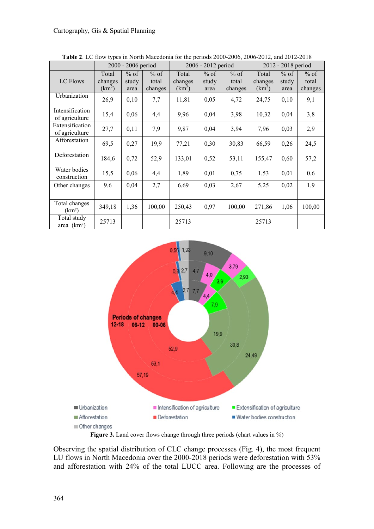|                                     |                                        | 2000 - 2006 period      |                            |                                        | 2006 - 2012 period      |                            | 2012 - 2018 period                     |                         |                            |  |
|-------------------------------------|----------------------------------------|-------------------------|----------------------------|----------------------------------------|-------------------------|----------------------------|----------------------------------------|-------------------------|----------------------------|--|
| LC Flows                            | Total<br>changes<br>(km <sup>2</sup> ) | $%$ of<br>study<br>area | $%$ of<br>total<br>changes | Total<br>changes<br>(km <sup>2</sup> ) | $%$ of<br>study<br>area | $%$ of<br>total<br>changes | Total<br>changes<br>(km <sup>2</sup> ) | $%$ of<br>study<br>area | $%$ of<br>total<br>changes |  |
| Urbanization                        | 26,9                                   | 0,10                    | 7,7                        | 11,81                                  | 0,05                    | 4,72                       | 24,75                                  | 0,10                    | 9,1                        |  |
| Intensification<br>of agriculture   | 15,4                                   | 0,06                    | 4,4                        | 9,96                                   | 0,04                    | 3,98                       | 10,32                                  | 0,04                    | 3,8                        |  |
| Extensification<br>of agriculture   | 27,7                                   | 0,11                    | 7,9                        | 9,87                                   | 0,04                    | 3,94                       | 7,96                                   | 0,03                    | 2,9                        |  |
| Afforestation                       | 69,5                                   | 0,27                    | 19,9                       | 77,21                                  | 0,30                    | 30,83                      | 66,59                                  | 0,26                    | 24,5                       |  |
| Deforestation                       | 184,6                                  | 0,72                    | 52,9                       | 133,01                                 | 0,52                    | 53,11                      | 155,47                                 | 0,60                    | 57,2                       |  |
| Water bodies<br>construction        | 15,5                                   | 0,06                    | 4,4                        | 1,89                                   | 0,01                    | 0,75                       | 1,53                                   | 0,01                    | 0,6                        |  |
| Other changes                       | 9,6                                    | 0,04                    | 2,7                        | 6,69                                   | 0,03                    | 2,67                       | 5,25                                   | 0,02                    | 1,9                        |  |
|                                     |                                        |                         |                            |                                        |                         |                            |                                        |                         |                            |  |
| Total changes<br>(km <sup>2</sup> ) | 349,18                                 | 1,36                    | 100,00                     | 250,43                                 | 0,97                    | 100,00                     | 271,86                                 | 1,06                    | 100,00                     |  |
| Total study<br>area $(km2)$         | 25713                                  |                         |                            | 25713                                  |                         |                            | 25713                                  |                         |                            |  |

**Table 2**. LC flow types in North Macedonia for the periods 2000-2006, 2006-2012, and 2012-2018



Figure 3. Land cover flows change through three periods (chart values in %)

Observing the spatial distribution of CLC change processes (Fig. 4), the most frequent LU flows in North Macedonia over the 2000-2018 periods were deforestation with 53% and afforestation with 24% of the total LUCC area. Following are the processes of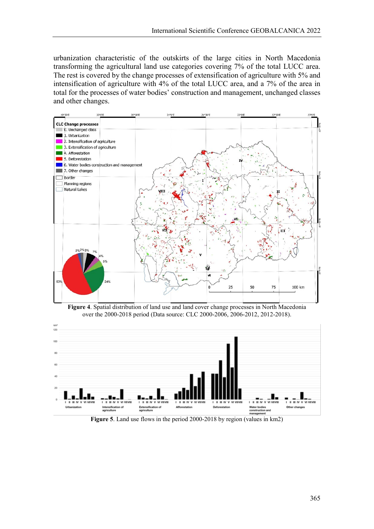urbanization characteristic of the outskirts of the large cities in North Macedonia transforming the agricultural land use categories covering 7% of the total LUCC area. The rest is covered by the change processes of extensification of agriculture with 5% and intensification of agriculture with 4% of the total LUCC area, and a 7% of the area in total for the processes of water bodies' construction and management, unchanged classes and other changes.







**Figure 5**. Land use flows in the period 2000-2018 by region (values in km2)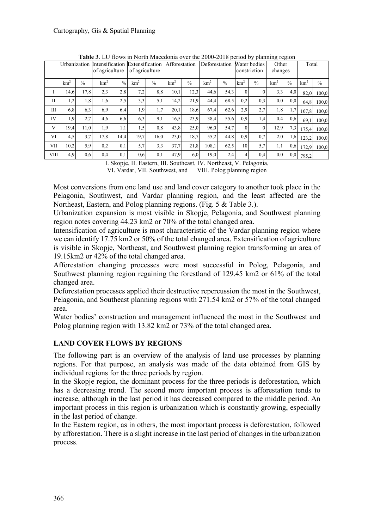|              | Urbanization    |      | of agriculture  |               | Intensification Extensification<br>of agriculture |               | Afforestation   |               | Deforestation   |               |                 | Water bodies<br>constriction | ັ<br>Other<br>changes |               | Total           |               |
|--------------|-----------------|------|-----------------|---------------|---------------------------------------------------|---------------|-----------------|---------------|-----------------|---------------|-----------------|------------------------------|-----------------------|---------------|-----------------|---------------|
|              | km <sup>2</sup> | $\%$ | km <sup>2</sup> | $\frac{0}{0}$ | km <sup>2</sup>                                   | $\frac{0}{0}$ | km <sup>2</sup> | $\frac{0}{0}$ | km <sup>2</sup> | $\frac{0}{0}$ | km <sup>2</sup> | $\frac{0}{0}$                | km <sup>2</sup>       | $\frac{0}{0}$ | km <sup>2</sup> | $\frac{0}{0}$ |
| -1           | 14,6            | 17,8 | 2,3             | 2,8           | 7,2                                               | 8.8           | 10,1            | 12,3          | 44,6            | 54,3          | $\theta$        |                              | 3,3                   | 4,0           | 82.0            | 100.0         |
| $\mathbf{I}$ | 1,2             | 1,8  | 1,6             | 2,5           | 3,3                                               | 5,1           | 14,2            | 21,9          | 44,4            | 68.5          | 0,2             | 0,3                          | 0,0                   | 0,0           | 64.8            | 100,0         |
| Ш            | 6,8             | 6,3  | 6.9             | 6,4           | 1,9                                               | 1,7           | 20,1            | 18.6          | 67,4            | 62,6          | 2,9             | 2.7                          | 1,8                   | 1,7           | 107.8           | 100,0         |
| <b>IV</b>    | 1,9             | 2,7  | 4,6             | 6,6           | 6,3                                               | 9,1           | 16,5            | 23,9          | 38,4            | 55,6          | 0.9             | 1,4                          | 0,4                   | 0.6           | 69.1            | 100,0         |
| V            | 19,4            | 11,0 | 1.9             | 1,1           | 1,5                                               | 0,8           | 43,8            | 25,0          | 96,0            | 54,7          | $\theta$        | $\theta$                     | 12,9                  | 7,3           | 175.4           | 100,0         |
| VI           | 4,5             | 3.7  | 17,8            | 14,4          | 19,7                                              | 16,0          | 23,0            | 18,7          | 55,2            | 44,8          | 0.9             | 0,7                          | 2,0                   | 1,6           | 123.2           | 100,0         |
| VІІ          | 10,2            | 5.9  | 0,2             | 0,1           | 5,7                                               | 3,3           | 37,7            | 21,8          | 108.1           | 62,5          | 10              | 5,7                          | 1,1                   | 0,6           | 172.9           | 100,0         |
| VIII         | 4,9             | 0.6  | 0,4             | 0,1           | 0,6                                               | 0,1           | 47,9            | 6,0           | 19,0            | 2,4           | 4               | 0,4                          | 0.0                   | 0,0           | 795,2           |               |

**Table 3**. LU flows in North Macedonia over the 2000-2018 period by planning region

I. Skopje, II. Eastern, III. Southeast, IV. Northeast, V. Pelagonia, VI. Vardar, VII. Southwest, and VIII. Polog planning region

Most conversions from one land use and land cover category to another took place in the Pelagonia, Southwest, and Vardar planning region, and the least affected are the Northeast, Eastern, and Polog planning regions. (Fig. 5 & Table 3.).

Urbanization expansion is most visible in Skopje, Pelagonia, and Southwest planning region notes covering 44.23 km2 or 70% of the total changed area.

Intensification of agriculture is most characteristic of the Vardar planning region where we can identify 17.75 km2 or 50% of the total changed area. Extensification of agriculture is visible in Skopje, Northeast, and Southwest planning region transforming an area of 19.15km2 or 42% of the total changed area.

Afforestation changing processes were most successful in Polog, Pelagonia, and Southwest planning region regaining the forestland of 129.45 km2 or 61% of the total changed area.

Deforestation processes applied their destructive repercussion the most in the Southwest, Pelagonia, and Southeast planning regions with 271.54 km2 or 57% of the total changed area.

Water bodies' construction and management influenced the most in the Southwest and Polog planning region with 13.82 km2 or 73% of the total changed area.

## **LAND COVER FLOWS BY REGIONS**

The following part is an overview of the analysis of land use processes by planning regions. For that purpose, an analysis was made of the data obtained from GIS by individual regions for the three periods by region.

In the Skopje region, the dominant process for the three periods is deforestation, which has a decreasing trend. The second more important process is afforestation tends to increase, although in the last period it has decreased compared to the middle period. An important process in this region is urbanization which is constantly growing, especially in the last period of change.

In the Eastern region, as in others, the most important process is deforestation, followed by afforestation. There is a slight increase in the last period of changes in the urbanization process.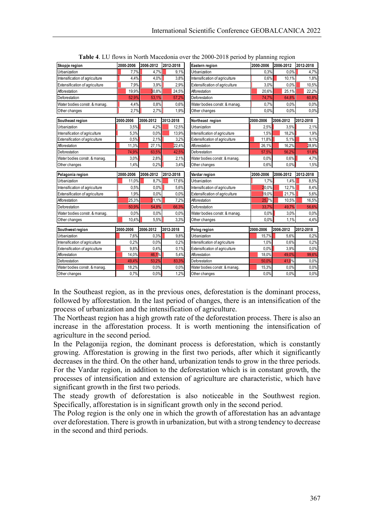| Skopje region                         | 2000-2006 | 2006-2012 | 2012-2018    | Eastern region                 | 2000-2006 | 2006-2012 | 2012-2018    |
|---------------------------------------|-----------|-----------|--------------|--------------------------------|-----------|-----------|--------------|
| Urbanization                          | 7,7%      | 4,7%      | 9,1%         | Urbanization                   | 0.3%      | 0,0%      | 4,7%         |
| Intensification of agriculture        | 4,4%      | 4,0%      | 3,8%         | Intensification of agriculture | 0,6%      | 10,1%     | 1,8%         |
| <b>Extensification of agriculture</b> | 7,9%      | 3,9%      | 2,9%         | Extensification of agriculture | 3,0%      | 0.0%      | 10,5%        |
| Afforestation                         | 19,9%     | 30,8%     | 24,5%        | Afforestation                  | 20,6%     | 25,1%     | 22,2%        |
| Deforestation                         | 52,9%     | 53,1%     | 57,2%        | Deforestation                  | 74,7%     | 64,8%     | 60,8%        |
| Water bodies constr. & manag.         | 4,4%      | 0,8%      | 0,6%         | Water bodies constr. & manag.  | 0,7%      | 0.0%      | 0.0%         |
| Other changes                         | 2,7%      | 2,7%      | 1,9%         | Other changes                  | 0.0%      | 0.0%      | 0.0%         |
| Southeast region                      | 2000-2006 | 2006-2012 | 2012-2018    | Northeast region               | 2000-2006 | 2006-2012 | 2012-2018    |
| Urbanization                          | 3,5%      | 4,2%      | 12,5%        | Urbanization                   | 2,5%      | 3,5%      | 2,1%         |
| Intensification of agriculture        | 5,3%      | 0.0%      | 13,9%        | Intensification of agriculture | 1,5%      | 18,2%     | 1,9%         |
| Extensification of agriculture        | 0,5%      | 2,1%      | 3,2%         | Extensification of agriculture | 11,8%     | 5,1%      | 9,1%         |
| Afforestation                         | 11,3%     | 27,1%     | 22,4%        | Afforestation                  | 26,1%     | 16,2%     | 28,9%        |
| Deforestation                         | 74,9%     | 63,5%     | 42,5%        | Deforestation                  | 57,5%     | 56,2%     | 51,8%        |
| Water bodies constr. & manag.         | 3,0%      | 2,8%      | 2,1%         | Water bodies constr. & manag.  | 0,0%      | 0,6%      | 4,7%         |
| Other changes                         | 1,4%      | 0,2%      | 3,4%         | Other changes                  | 0,6%      | 0.0%      | 1,5%         |
|                                       |           |           |              |                                |           |           |              |
| Pelagonia region                      | 2000-2006 | 2006-2012 | 2012-2018    | Vardar region                  | 2000-2006 | 2006-2012 | 2012-2018    |
| Urbanization                          | 11,0%     | 8,7%      | 17,6%        | Urbanization                   | 1,7%      | 1,4%      | 8,5%         |
| Intensification of agriculture        | 0,5%      | 0,0%      | 5,6%         | Intensification of agriculture | 20,0%     | 12.7%     | 8,4%         |
| Extensification of agriculture        | 1,9%      | 0.0%      | 0.0%         | Extensification of agriculture | 19,0%     | 21,7%     | 5,6%         |
| Afforestation                         | 25,3%     | 31,1%     | 7,2%         | Afforestation                  | 25,7%     | 10,5%     | 16,5%        |
| Deforestation                         | 50,9%     | 54,8%     | 66,3%        | Deforestation                  | 33,7%     | 49,7%     | 56,6%        |
| Water bodies constr. & manag.         | 0.0%      | 0,0%      | 0.0%         | Water bodies constr. & manag.  | 0.0%      | 3,0%      | 0.0%         |
| Other changes                         | 10,4%     | 5,5%      | 3,3%         | Other changes                  | 0.0%      | 1,1%      | 4,4%         |
| Southwest region                      | 2000-2006 | 2006-2012 | 2012-2018    | Polog region                   | 2000-2006 | 2006-2012 | 2012-2018    |
| Urbanization                          | 7,6%      | 0,3%      | 9,8%         | Urbanization                   | 15,7%     | 5,6%      | 0,2%         |
| Intensification of agriculture        | 0,2%      | 0,0%      | 0,2%         | Intensification of agriculture | 1,0%      | 0,6%      | 0,2%         |
| Extensification of agriculture        | 9,8%      | 0,4%      | 0.1%         | Extensification of agriculture | 0,0%      | 3,9%      | 0,0%         |
| Afforestation                         | 14,0%     | 46,1%     | 5,4%         | Afforestation                  | 18,0%     | 49,0%     | 99,6%        |
| Deforestation                         | 49,4%     | 53,2%     | 83,3%        | Deforestation                  | 50,0%     | 41,0%     | 0.0%         |
| Water bodies constr. & manaq.         | 18,2%     | 0.0%      | 0.0%<br>1,2% | Water bodies constr. & manaq.  | 15,3%     | 0,0%      | 0.0%<br>0,0% |

In the Southeast region, as in the previous ones, deforestation is the dominant process, followed by afforestation. In the last period of changes, there is an intensification of the process of urbanization and the intensification of agriculture.

The Northeast region has a high growth rate of the deforestation process. There is also an increase in the afforestation process. It is worth mentioning the intensification of agriculture in the second period.

In the Pelagonija region, the dominant process is deforestation, which is constantly growing. Afforestation is growing in the first two periods, after which it significantly decreases in the third. On the other hand, urbanization tends to grow in the three periods. For the Vardar region, in addition to the deforestation which is in constant growth, the processes of intensification and extension of agriculture are characteristic, which have significant growth in the first two periods.

The steady growth of deforestation is also noticeable in the Southwest region. Specifically, afforestation is in significant growth only in the second period.

The Polog region is the only one in which the growth of afforestation has an advantage over deforestation. There is growth in urbanization, but with a strong tendency to decrease in the second and third periods.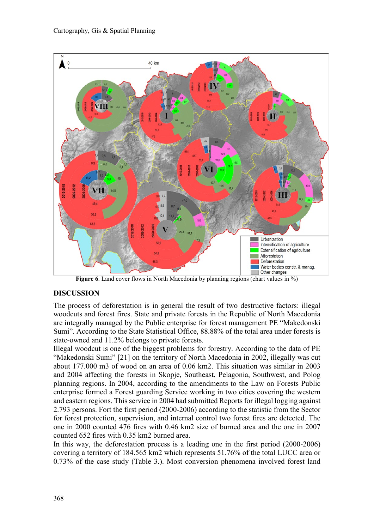

**Figure 6**. Land cover flows in North Macedonia by planning regions (chart values in %)

## **DISCUSSION**

The process of deforestation is in general the result of two destructive factors: illegal woodcuts and forest fires. State and private forests in the Republic of North Macedonia are integrally managed by the Public enterprise for forest management PE "Makedonski Sumi". According to the State Statistical Office, 88.88% of the total area under forests is state-owned and 11.2% belongs to private forests.

Illegal woodcut is one of the biggest problems for forestry. According to the data of PE "Makedonski Sumi" [21] on the territory of North Macedonia in 2002, illegally was cut about 177.000 m3 of wood on an area of 0.06 km2. This situation was similar in 2003 and 2004 affecting the forests in Skopje, Southeast, Pelagonia, Southwest, and Polog planning regions. In 2004, according to the amendments to the Law on Forests Public enterprise formed a Forest guarding Service working in two cities covering the western and eastern regions. This service in 2004 had submitted Reports for illegal logging against 2.793 persons. Fort the first period (2000-2006) according to the statistic from the Sector for forest protection, supervision, and internal control two forest fires are detected. The one in 2000 counted 476 fires with 0.46 km2 size of burned area and the one in 2007 counted 652 fires with 0.35 km2 burned area.

In this way, the deforestation process is a leading one in the first period (2000-2006) covering a territory of 184.565 km2 which represents 51.76% of the total LUCC area or 0.73% of the case study (Table 3.). Most conversion phenomena involved forest land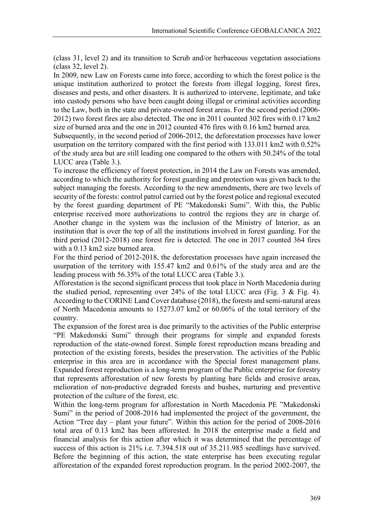(class 31, level 2) and its transition to Scrub and/or herbaceous vegetation associations (class 32, level 2).

In 2009, new Law on Forests came into force, according to which the forest police is the unique institution authorized to protect the forests from illegal logging, forest fires, diseases and pests, and other disasters. It is authorized to intervene, legitimate, and take into custody persons who have been caught doing illegal or criminal activities according to the Law, both in the state and private-owned forest areas. For the second period (2006- 2012) two forest fires are also detected. The one in 2011 counted 302 fires with 0.17 km2 size of burned area and the one in 2012 counted 476 fires with 0.16 km2 burned area.

Subsequently, in the second period of 2006-2012, the deforestation processes have lower usurpation on the territory compared with the first period with 133.011 km2 with 0.52% of the study area but are still leading one compared to the others with 50.24% of the total LUCC area (Table 3.).

To increase the efficiency of forest protection, in 2014 the Law on Forests was amended, according to which the authority for forest guarding and protection was given back to the subject managing the forests. According to the new amendments, there are two levels of security of the forests: control patrol carried out by the forest police and regional executed by the forest guarding department of PE "Makedonski Sumi". With this, the Public enterprise received more authorizations to control the regions they are in charge of. Another change in the system was the inclusion of the Ministry of Interior, as an institution that is over the top of all the institutions involved in forest guarding. For the third period (2012-2018) one forest fire is detected. The one in 2017 counted 364 fires with a 0.13 km2 size burned area.

For the third period of 2012-2018, the deforestation processes have again increased the usurpation of the territory with 155.47 km2 and 0.61% of the study area and are the leading process with 56.35% of the total LUCC area (Table 3.).

Afforestation is the second significant process that took place in North Macedonia during the studied period, representing over 24% of the total LUCC area (Fig. 3 & Fig. 4). According to the CORINE Land Cover database (2018), the forests and semi-natural areas of North Macedonia amounts to 15273.07 km2 or 60.06% of the total territory of the country.

The expansion of the forest area is due primarily to the activities of the Public enterprise "PE Makedonski Sumi" through their programs for simple and expanded forests reproduction of the state-owned forest. Simple forest reproduction means breading and protection of the existing forests, besides the preservation. The activities of the Public enterprise in this area are in accordance with the Special forest management plans. Expanded forest reproduction is a long-term program of the Public enterprise for forestry that represents afforestation of new forests by planting bare fields and erosive areas, melioration of non-productive degraded forests and bushes, nurturing and preventive protection of the culture of the forest, etc.

Within the long-term program for afforestation in North Macedonia PE "Makedonski Sumi" in the period of 2008-2016 had implemented the project of the government, the Action "Tree day – plant your future". Within this action for the period of 2008-2016 total area of 0.13 km2 has been afforested. In 2018 the enterprise made a field and financial analysis for this action after which it was determined that the percentage of success of this action is 21% i.e. 7.394.518 out of 35.211.985 seedlings have survived. Before the beginning of this action, the state enterprise has been executing regular afforestation of the expanded forest reproduction program. In the period 2002-2007, the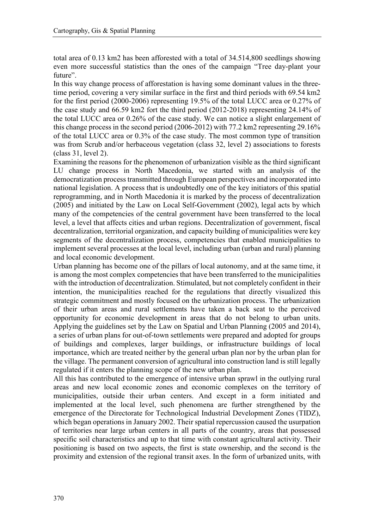total area of 0.13 km2 has been afforested with a total of 34.514,800 seedlings showing even more successful statistics than the ones of the campaign "Tree day-plant your future".

In this way change process of afforestation is having some dominant values in the threetime period, covering a very similar surface in the first and third periods with 69.54 km2 for the first period (2000-2006) representing 19.5% of the total LUCC area or 0.27% of the case study and 66.59 km2 fort the third period (2012-2018) representing 24.14% of the total LUCC area or 0.26% of the case study. We can notice a slight enlargement of this change process in the second period (2006-2012) with 77.2 km2 representing 29.16% of the total LUCC area or 0.3% of the case study. The most common type of transition was from Scrub and/or herbaceous vegetation (class 32, level 2) associations to forests (class 31, level 2).

Examining the reasons for the phenomenon of urbanization visible as the third significant LU change process in North Macedonia, we started with an analysis of the democratization process transmitted through European perspectives and incorporated into national legislation. A process that is undoubtedly one of the key initiators of this spatial reprogramming, and in North Macedonia it is marked by the process of decentralization (2005) and initiated by the Law on Local Self-Government (2002), legal acts by which many of the competencies of the central government have been transferred to the local level, a level that affects cities and urban regions. Decentralization of government, fiscal decentralization, territorial organization, and capacity building of municipalities were key segments of the decentralization process, competencies that enabled municipalities to implement several processes at the local level, including urban (urban and rural) planning and local economic development.

Urban planning has become one of the pillars of local autonomy, and at the same time, it is among the most complex competencies that have been transferred to the municipalities with the introduction of decentralization. Stimulated, but not completely confident in their intention, the municipalities reached for the regulations that directly visualized this strategic commitment and mostly focused on the urbanization process. The urbanization of their urban areas and rural settlements have taken a back seat to the perceived opportunity for economic development in areas that do not belong to urban units. Applying the guidelines set by the Law on Spatial and Urban Planning (2005 and 2014), a series of urban plans for out-of-town settlements were prepared and adopted for groups of buildings and complexes, larger buildings, or infrastructure buildings of local importance, which are treated neither by the general urban plan nor by the urban plan for the village. The permanent conversion of agricultural into construction land is still legally regulated if it enters the planning scope of the new urban plan.

All this has contributed to the emergence of intensive urban sprawl in the outlying rural areas and new local economic zones and economic complexes on the territory of municipalities, outside their urban centers. And except in a form initiated and implemented at the local level, such phenomena are further strengthened by the emergence of the Directorate for Technological Industrial Development Zones (TIDZ), which began operations in January 2002. Their spatial repercussion caused the usurpation of territories near large urban centers in all parts of the country, areas that possessed specific soil characteristics and up to that time with constant agricultural activity. Their positioning is based on two aspects, the first is state ownership, and the second is the proximity and extension of the regional transit axes. In the form of urbanized units, with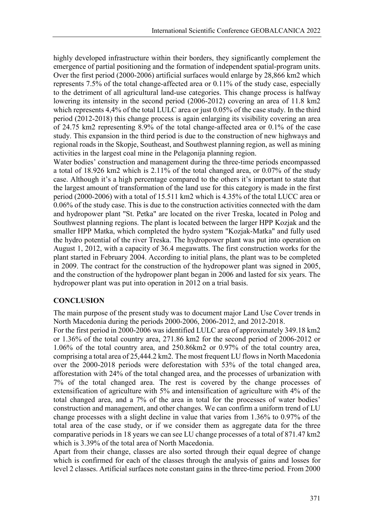highly developed infrastructure within their borders, they significantly complement the emergence of partial positioning and the formation of independent spatial-program units. Over the first period (2000-2006) artificial surfaces would enlarge by 28,866 km2 which represents 7.5% of the total change-affected area or 0.11% of the study case, especially to the detriment of all agricultural land-use categories. This change process is halfway lowering its intensity in the second period (2006-2012) covering an area of 11.8 km2 which represents 4,4% of the total LULC area or just 0.05% of the case study. In the third period (2012-2018) this change process is again enlarging its visibility covering an area of 24.75 km2 representing 8.9% of the total change-affected area or 0.1% of the case study. This expansion in the third period is due to the construction of new highways and regional roads in the Skopje, Southeast, and Southwest planning region, as well as mining activities in the largest coal mine in the Pelagonija planning region.

Water bodies' construction and management during the three-time periods encompassed a total of 18.926 km2 which is 2.11% of the total changed area, or 0.07% of the study case. Although it's a high percentage compared to the others it's important to state that the largest amount of transformation of the land use for this category is made in the first period (2000-2006) with a total of 15.511 km2 which is 4.35% of the total LUCC area or 0.06% of the study case. This is due to the construction activities connected with the dam and hydropower plant "St. Petka" are located on the river Treska, located in Polog and Southwest planning regions. The plant is located between the larger HPP Kozjak and the smaller HPP Matka, which completed the hydro system "Kozjak-Matka" and fully used the hydro potential of the river Treska. The hydropower plant was put into operation on August 1, 2012, with a capacity of 36.4 megawatts. The first construction works for the plant started in February 2004. According to initial plans, the plant was to be completed in 2009. The contract for the construction of the hydropower plant was signed in 2005, and the construction of the hydropower plant began in 2006 and lasted for six years. The hydropower plant was put into operation in 2012 on a trial basis.

#### **CONCLUSION**

The main purpose of the present study was to document major Land Use Cover trends in North Macedonia during the periods 2000-2006, 2006-2012, and 2012-2018.

For the first period in 2000-2006 was identified LULC area of approximately 349.18 km2 or 1.36% of the total country area, 271.86 km2 for the second period of 2006-2012 or 1.06% of the total country area, and 250.86km2 or 0.97% of the total country area, comprising a total area of 25,444.2 km2. The most frequent LU flows in North Macedonia over the 2000-2018 periods were deforestation with 53% of the total changed area, afforestation with 24% of the total changed area, and the processes of urbanization with 7% of the total changed area. The rest is covered by the change processes of extensification of agriculture with 5% and intensification of agriculture with 4% of the total changed area, and a 7% of the area in total for the processes of water bodies' construction and management, and other changes. We can confirm a uniform trend of LU change processes with a slight decline in value that varies from 1.36% to 0.97% of the total area of the case study, or if we consider them as aggregate data for the three comparative periods in 18 years we can see LU change processes of a total of 871.47 km2 which is 3.39% of the total area of North Macedonia.

Apart from their change, classes are also sorted through their equal degree of change which is confirmed for each of the classes through the analysis of gains and losses for level 2 classes. Artificial surfaces note constant gains in the three-time period. From 2000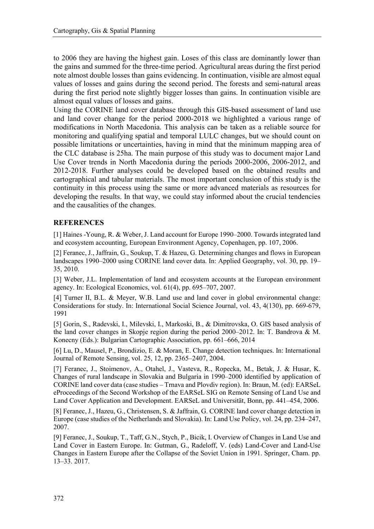to 2006 they are having the highest gain. Loses of this class are dominantly lower than the gains and summed for the three-time period. Agricultural areas during the first period note almost double losses than gains evidencing. In continuation, visible are almost equal values of losses and gains during the second period. The forests and semi-natural areas during the first period note slightly bigger losses than gains. In continuation visible are almost equal values of losses and gains.

Using the CORINE land cover database through this GIS-based assessment of land use and land cover change for the period 2000-2018 we highlighted a various range of modifications in North Macedonia. This analysis can be taken as a reliable source for monitoring and qualifying spatial and temporal LULC changes, but we should count on possible limitations or uncertainties, having in mind that the minimum mapping area of the CLC database is 25ha. The main purpose of this study was to document major Land Use Cover trends in North Macedonia during the periods 2000-2006, 2006-2012, and 2012-2018. Further analyses could be developed based on the obtained results and cartographical and tabular materials. The most important conclusion of this study is the continuity in this process using the same or more advanced materials as resources for developing the results. In that way, we could stay informed about the crucial tendencies and the causalities of the changes.

## **REFERENCES**

[1] Haines -Young, R. & Weber, J. Land account for Europe 1990–2000. Towards integrated land and ecosystem accounting, European Environment Agency, Copenhagen, pp. 107, 2006.

[2] Feranec, J., Jaffrain, G., Soukup, T. & Hazeu, G. Determining changes and flows in European landscapes 1990–2000 using CORINE land cover data. In: Applied Geography, vol. 30, pp. 19– 35, 2010.

[3] Weber, J.L. Implementation of land and ecosystem accounts at the European environment agency. In: Ecological Economics, vol. 61(4), pp. 695–707, 2007.

[4] Turner II, B.L. & Meyer, W.B. Land use and land cover in global environmental change: Considerations for study. In: International Social Science Journal, vol. 43, 4(130), pp. 669-679, 1991

[5] Gorin, S., Radevski, I., Milevski, I., Markoski, B., & Dimitrovska, O. GIS based analysis of the land cover changes in Skopje region during the period 2000–2012. In: T. Bandrova & M. Konecny (Eds.): Bulgarian Cartographic Association, pp. 661–666, 2014

[6] Lu, D., Mausel, P., Brondizio, E. & Moran, E. Change detection techniques. In: International Journal of Remote Sensing, vol. 25, 12, pp. 2365–2407, 2004.

[7] Feranec, J., Stoimenov, A., Otahel, J., Vasteva, R., Ropecka, M., Betak, J. & Husar, K. Changes of rural landscape in Slovakia and Bulgaria in 1990–2000 identified by application of CORINE land cover data (case studies – Trnava and Plovdiv region). In: Braun, M. (ed): EARSeL eProceedings of the Second Workshop of the EARSeL SIG on Remote Sensing of Land Use and Land Cover Application and Development. EARSeL and Universität, Bonn, pp. 441–454, 2006.

[8] Feranec, J., Hazeu, G., Christensen, S. & Jaffrain, G. CORINE land cover change detection in Europe (case studies of the Netherlands and Slovakia). In: Land Use Policy, vol. 24, pp. 234–247, 2007.

[9] Feranec, J., Soukup, T., Taff, G.N., Stych, P., Bicik, I. Overview of Changes in Land Use and Land Cover in Eastern Europe. In: Gutman, G., Radeloff, V. (eds) Land-Cover and Land-Use Changes in Eastern Europe after the Collapse of the Soviet Union in 1991. Springer, Cham. pp. 13–33. 2017.